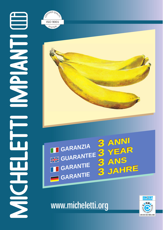





## www.micheletti.org

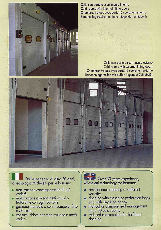

Celle con porte a scorrimento interno Cold rooms with internal lifting doors Chambres froides avec portes à coulement interne Bananenlagerzellen mit innen liegender Schiebetür

Celle con porte a scorrimento esterno Cold rooms with external lifting doors Chambres froides avec portes à coulement externe Bananenlagerzellen mit außen liegender Schiebetür



Dall'esperienza di oltre 30 anni, la tecnologia Micheletti per le banane:

- maturazione contemporanea di più varietà
- · maturazione con sacchetti chiusi o traforati e con ogni cartone
- · gestione manuale o con il computer fino a 50 celle
- · consumi ridotti per maturazione a metà carico.

Over 30 years experience,<br>Micheletti technology for bananas:

- simultaneous ripening of different varieties
- ripening with closed or perforated bags and with any kind of box
- manual or computerised management ō up to 50 cold rooms
- · reduced consumption for half load ripening.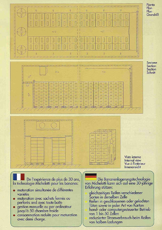

De l'expérience de plus de 30 ans,<br>la technologie Micheletti pour les bananes:

- · maturation simultanée de différentes variétés
- maturation avec sachets termés ou perforés and avec toute boîte
- gestion manuelle ou par ordinateur jusqu'à 50 chambre froide
- consommation reduite pour maturation avec demi charge.

Die Bananenlagerungstechnologie von Micheletti kann sich auf eine 30-jährige Erfahrung stützen:

gleichzeitiges Reifen verschiedener Sorten in derselben Zelle Reifen in geschlossenen oder gelochten Tüten sowie in jeder Art von Karton hand- oder computergesteuerter Betrieb von 1 bis 50 Zellen reduzierter Stromverbrauch beim Reifen

von halben Ladungen